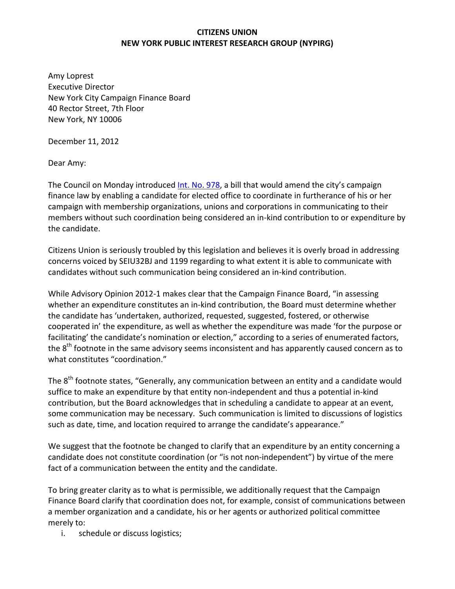## **CITIZENS UNION NEW YORK PUBLIC INTEREST RESEARCH GROUP (NYPIRG)**

Amy Loprest Executive Director New York City Campaign Finance Board 40 Rector Street, 7th Floor New York, NY 10006

December 11, 2012

Dear Amy:

The Council on Monday introduced Int. No. 978, a bill that would amend the city's campaign finance law by enabling a candidate for elected office to coordinate in furtherance of his or her campaign with membership organizations, unions and corporations in communicating to their members without such coordination being considered an in‐kind contribution to or expenditure by the candidate.

Citizens Union is seriously troubled by this legislation and believes it is overly broad in addressing concerns voiced by SEIU32BJ and 1199 regarding to what extent it is able to communicate with candidates without such communication being considered an in‐kind contribution.

While Advisory Opinion 2012‐1 makes clear that the Campaign Finance Board, "in assessing whether an expenditure constitutes an in-kind contribution, the Board must determine whether the candidate has 'undertaken, authorized, requested, suggested, fostered, or otherwise cooperated in' the expenditure, as well as whether the expenditure was made 'for the purpose or facilitating' the candidate's nomination or election," according to a series of enumerated factors, the 8<sup>th</sup> footnote in the same advisory seems inconsistent and has apparently caused concern as to what constitutes "coordination."

The 8<sup>th</sup> footnote states, "Generally, any communication between an entity and a candidate would suffice to make an expenditure by that entity non‐independent and thus a potential in‐kind contribution, but the Board acknowledges that in scheduling a candidate to appear at an event, some communication may be necessary. Such communication is limited to discussions of logistics such as date, time, and location required to arrange the candidate's appearance."

We suggest that the footnote be changed to clarify that an expenditure by an entity concerning a candidate does not constitute coordination (or "is not non‐independent") by virtue of the mere fact of a communication between the entity and the candidate.

To bring greater clarity as to what is permissible, we additionally request that the Campaign Finance Board clarify that coordination does not, for example, consist of communications between a member organization and a candidate, his or her agents or authorized political committee merely to:

i. schedule or discuss logistics;